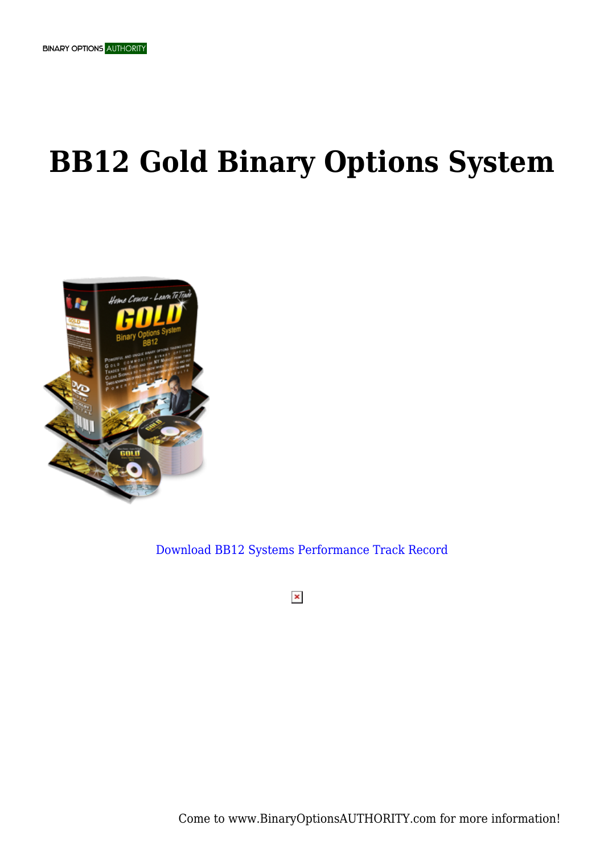## **BB12 Gold Binary Options System**



[Download BB12 Systems Performance Track Record](https://binaryoptionsauthority.com/wp-content/uploads/2015/02/Gold-Binary-Options-System-BB12.pdf)

 $\pmb{\times}$ 

Come to www.BinaryOptionsAUTHORITY.com for more information!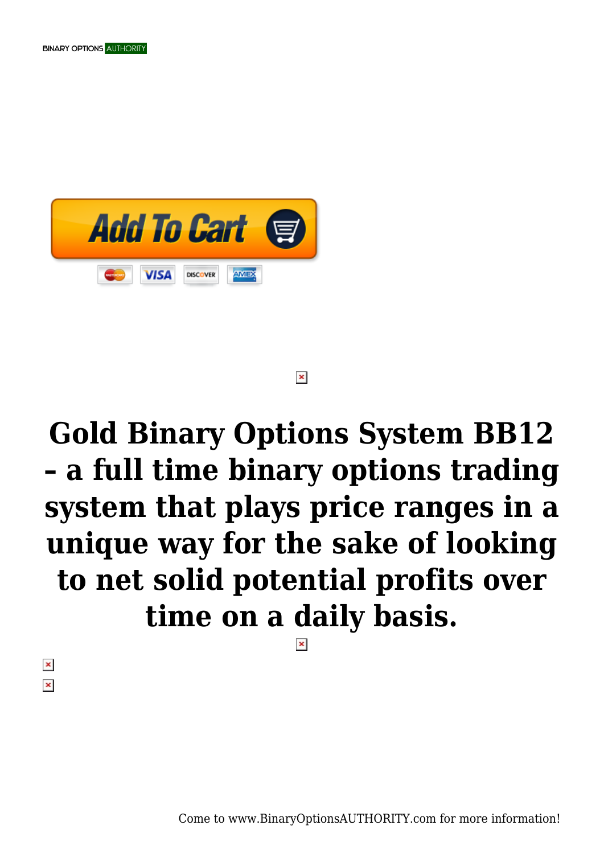

#### $\pmb{\times}$

# **Gold Binary Options System BB12 – a full time binary options trading system that plays price ranges in a unique way for the sake of looking to net solid potential profits over time on a daily basis.**

 $\pmb{\times}$  $\pmb{\times}$ 

Come to www.BinaryOptionsAUTHORITY.com for more information!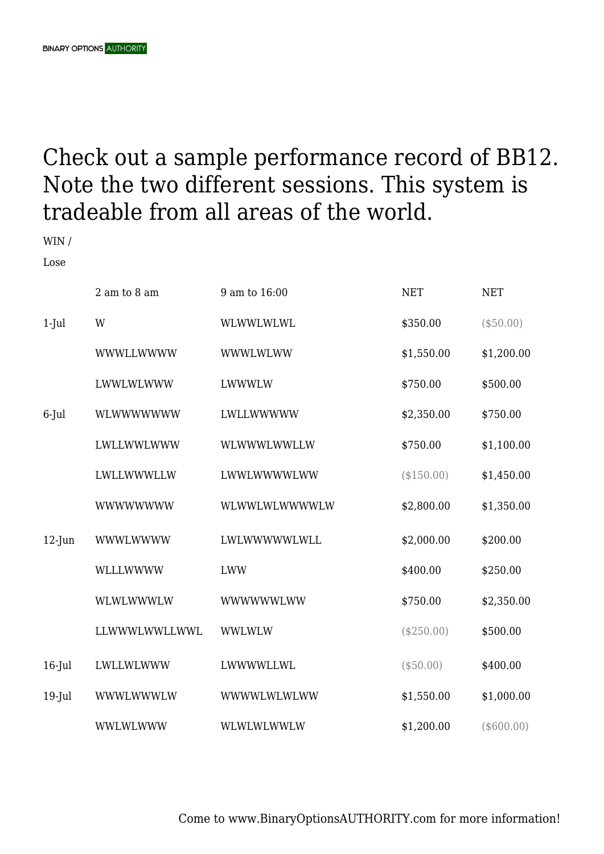### Check out a sample performance record of BB12. Note the two different sessions. This system is tradeable from all areas of the world.

WIN /

Lose

|           | 2 am to 8 am    | 9 am to 16:00 | <b>NET</b>   | <b>NET</b>  |
|-----------|-----------------|---------------|--------------|-------------|
| $1-Jul$   | W               | WLWWLWLWL     | \$350.00     | $(\$50.00)$ |
|           | WWWLLWWWW       | WWWLWLWW      | \$1,550.00   | \$1,200.00  |
|           | LWWLWLWWW       | LWWWLW        | \$750.00     | \$500.00    |
| 6-Jul     | WLWWWWWW        | LWLLWWWWW     | \$2,350.00   | \$750.00    |
|           | LWLLWWLWWW      | WLWWWLWWLLW   | \$750.00     | \$1,100.00  |
|           | LWLLWWWLLW      | LWWLWWWWLWW   | (\$150.00)   | \$1,450.00  |
|           | <b>WWWWWWWW</b> | WLWWLWLWWWWLW | \$2,800.00   | \$1,350.00  |
| $12$ -Jun | <b>WWWLWWWW</b> | LWLWWWWWLWLL  | \$2,000.00   | \$200.00    |
|           | WLLLWWWW        | <b>LWW</b>    | \$400.00     | \$250.00    |
|           | WLWLWWWLW       | WWWWWWLWW     | \$750.00     | \$2,350.00  |
|           | LLWWWLWWLLWWL   | <b>WWLWLW</b> | $(\$250.00)$ | \$500.00    |
| $16$ -Jul | LWLLWLWWW       | LWWWWLLWL     | (\$50.00)    | \$400.00    |
| $19$ -Jul | WWWLWWWLW       | WWWWLWLWLWW   | \$1,550.00   | \$1,000.00  |
|           | WWLWLWWW        | WLWLWLWWLW    | \$1,200.00   | (\$600.00)  |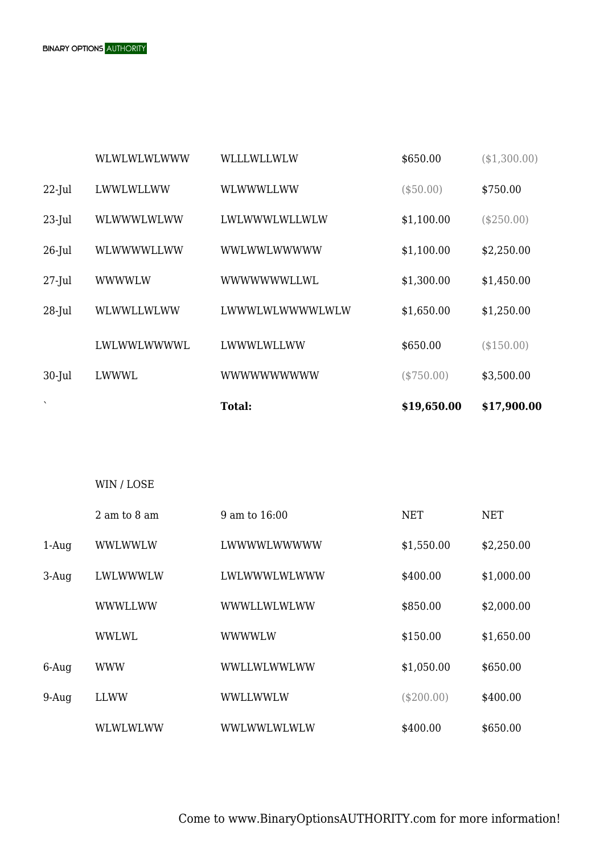|          | 2 am to 8 am | 9 am to 16:00 | <b>NET</b>   | <b>NET</b> |
|----------|--------------|---------------|--------------|------------|
| $1-Auq$  | WWLWWLW      | LWWWWLWWWWW   | \$1,550.00   | \$2,250.00 |
| $3-Auq$  | LWLWWWLW     | LWLWWWLWLWWW  | \$400.00     | \$1,000.00 |
|          | WWWLLWW      | WWWLLWLWLWW   | \$850.00     | \$2,000.00 |
|          | WWLWL        | WWWWLW        | \$150.00     | \$1,650.00 |
| $6$ -Aug | <b>WWW</b>   | WWLLWLWWLWW   | \$1,050.00   | \$650.00   |
| $9-Auq$  | LLWW         | WWLLWWLW      | $(\$200.00)$ | \$400.00   |
|          | WLWLWLWW     | WWLWWLWLWLW   | \$400.00     | \$650.00   |

| $\cdot$   |             | <b>Total:</b>    | \$19,650.00 | \$17,900.00 |
|-----------|-------------|------------------|-------------|-------------|
| $30$ -Jul | LWWWL       | <b>WWWWWWWWW</b> | (\$750.00)  | \$3,500.00  |
|           | LWLWWLWWWWL | LWWWLWLLWW       | \$650.00    | (\$150.00)  |
| $28$ -Jul | WLWWLLWLWW  | LWWWLWLWWWWLWLW  | \$1,650.00  | \$1,250.00  |
| $27$ -Jul | WWWWLW      | WWWWWWLLWL       | \$1,300.00  | \$1,450.00  |
| $26$ -Jul | WLWWWWLLWW  | WWLWWLWWWWW      | \$1,100.00  | \$2,250.00  |
| $23$ -Jul | WLWWWLWLWW  | LWLWWWLWLLWLW    | \$1,100.00  | (\$250.00)  |
| $22$ -Jul | LWWLWLLWW   | WLWWWLLWW        | (\$50.00)   | \$750.00    |

WLWLWLWLWWW WLLLWLLWLW \$650.00 (\$1,300.00)

WIN / LOSE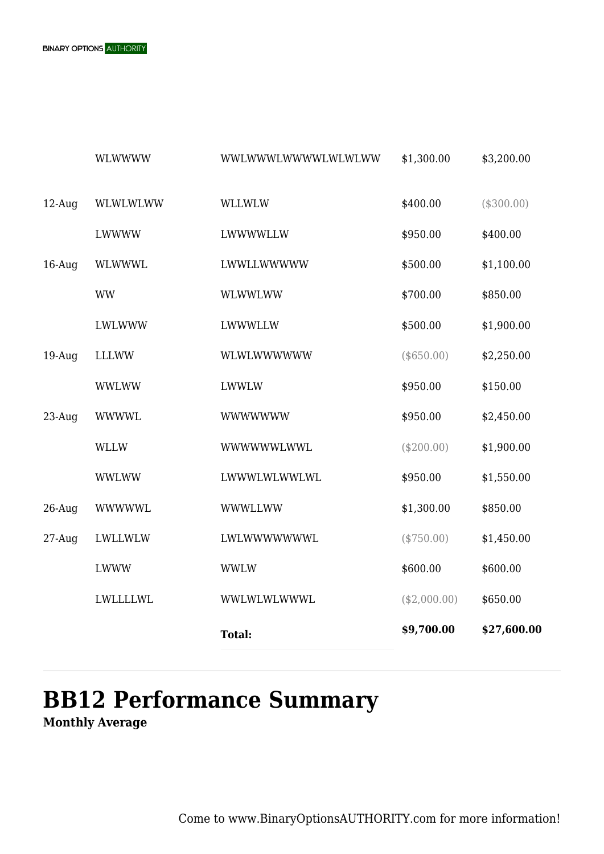

|           |                 | <b>Total:</b>      | \$9,700.00   | \$27,600.00 |
|-----------|-----------------|--------------------|--------------|-------------|
|           | <b>LWLLLLWL</b> | WWLWLWLWWWL        | (\$2,000.00) | \$650.00    |
|           | LWWW            | <b>WWLW</b>        | \$600.00     | \$600.00    |
| $27-Auq$  | LWLLWLW         | LWLWWWWWWL         | (\$750.00)   | \$1,450.00  |
| $26$ -Aug | <b>WWWWWL</b>   | WWWLLWW            | \$1,300.00   | \$850.00    |
|           | <b>WWLWW</b>    | LWWWLWLWWLWL       | \$950.00     | \$1,550.00  |
|           | WLLW            | WWWWWWLWWL         | $(\$200.00)$ | \$1,900.00  |
| $23$ -Aug | <b>WWWWL</b>    | <b>WWWWWWW</b>     | \$950.00     | \$2,450.00  |
|           | <b>WWLWW</b>    | <b>LWWLW</b>       | \$950.00     | \$150.00    |
| $19-Auq$  | <b>LLLWW</b>    | WLWLWWWWWW         | $(\$650.00)$ | \$2,250.00  |
|           | LWLWWW          | <b>LWWWLLW</b>     | \$500.00     | \$1,900.00  |
|           | <b>WW</b>       | <b>WLWWLWW</b>     | \$700.00     | \$850.00    |
| $16$ -Aug | WLWWWL          | LWWLLWWWWW         | \$500.00     | \$1,100.00  |
|           | LWWWW           | LWWWWLLW           | \$950.00     | \$400.00    |
| $12$ -Aug | WLWLWLWW        | <b>WLLWLW</b>      | \$400.00     | (\$300.00)  |
|           | <b>WLWWWW</b>   | WWLWWWLWWWWLWLWLWW | \$1,300.00   | \$3,200.00  |

## **BB12 Performance Summary**

**Monthly Average**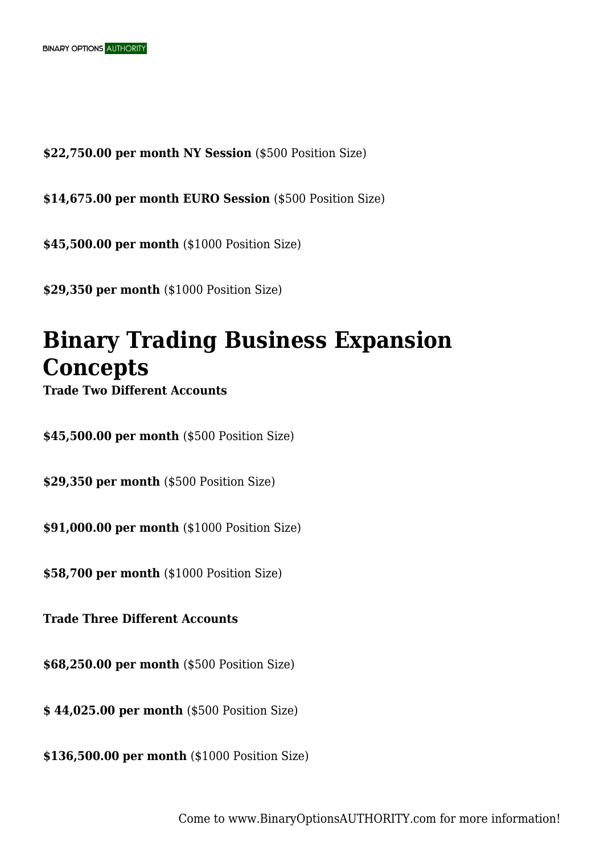**\$22,750.00 per month NY Session** (\$500 Position Size)

**\$14,675.00 per month EURO Session** (\$500 Position Size)

**\$45,500.00 per month** (\$1000 Position Size)

**\$29,350 per month** (\$1000 Position Size)

### **Binary Trading Business Expansion Concepts**

**Trade Two Different Accounts**

**\$45,500.00 per month** (\$500 Position Size)

**\$29,350 per month** (\$500 Position Size)

**\$91,000.00 per month** (\$1000 Position Size)

**\$58,700 per month** (\$1000 Position Size)

**Trade Three Different Accounts**

**\$68,250.00 per month** (\$500 Position Size)

**\$ 44,025.00 per month** (\$500 Position Size)

**\$136,500.00 per month** (\$1000 Position Size)